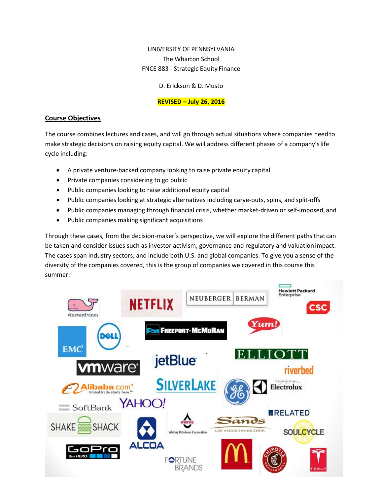# UNIVERSITY OF PENNSYLVANIA The Wharton School FNCE 883 - Strategic Equity Finance

D. Erickson & D. Musto

# **REVISED – July 26, 2016**

### **Course Objectives**

The course combines lectures and cases, and will go through actual situations where companies needto make strategic decisions on raising equity capital. We will address different phases of a company'slife cycle including:

- A private venture-backed company looking to raise private equity capital
- Private companies considering to go public
- Public companies looking to raise additional equity capital
- Public companies looking at strategic alternatives including carve-outs, spins, and split-offs
- Public companies managing through financial crisis, whether market-driven or self-imposed, and
- Public companies making significant acquisitions

Through these cases, from the decision-maker's perspective, we will explore the different paths that can be taken and consider issues such as investor activism, governance and regulatory and valuation impact. The cases span industry sectors, and include both U.S. and global companies. To give you a sense of the diversity of the companies covered, this is the group of companies we covered in this course this summer:

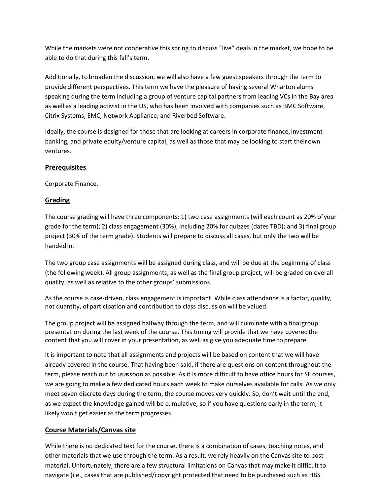While the markets were not cooperative this spring to discuss "live" deals in the market, we hope to be able to do that during this fall's term.

Additionally, to broaden the discussion, we will also have a few guest speakers through the term to provide different perspectives. This term we have the pleasure of having several Wharton alums speaking during the term including a group of venture capital partners from leading VCs in the Bay area as well as a leading activist in the US, who has been involved with companies such as BMC Software, Citrix Systems, EMC, Network Appliance, and Riverbed Software.

Ideally, the course is designed for those that are looking at careers in corporate finance, investment banking, and private equity/venture capital, as well as those that may be looking to start theirown ventures.

#### **Prerequisites**

Corporate Finance.

#### **Grading**

The course grading will have three components: 1) two case assignments (will each count as 20% ofyour grade for the term); 2) class engagement (30%), including 20% for quizzes (dates TBD); and 3) final group project (30% of the term grade). Students will prepare to discuss all cases, but only the two will be handed in.

The two group case assignments will be assigned during class, and will be due at the beginning of class (the following week). All group assignments, as well as the final group project, will be graded on overall quality, as well as relative to the other groups' submissions.

As the course is case-driven, class engagement is important. While class attendance is a factor, quality, not quantity, of participation and contribution to class discussion will be valued.

The group project will be assigned halfway through the term, and will culminate with a finalgroup presentation during the last week of the course. This timing will provide that we have coveredthe content that you will cover in your presentation, as well as give you adequate time to prepare.

It is important to note that all assignments and projects will be based on content that we will have already covered in the course. That having been said, if there are questions on content throughout the term, please reach out to usassoon as possible. As it is more difficult to have office hours for SF courses, we are going to make a few dedicated hours each week to make ourselves available for calls. As we only meet seven discrete days during the term, the course moves very quickly. So, don't wait until the end, as we expect the knowledge gained will be cumulative; so if you have questions early in the term, it likely won't get easier as the termprogresses.

#### **Course Materials/Canvas site**

While there is no dedicated text for the course, there is a combination of cases, teaching notes, and other materials that we use through the term. As a result, we rely heavily on the Canvas site to post material. Unfortunately, there are a few structural limitations on Canvas that may make it difficult to navigate (i.e., cases that are published/copyright protected that need to be purchased such as HBS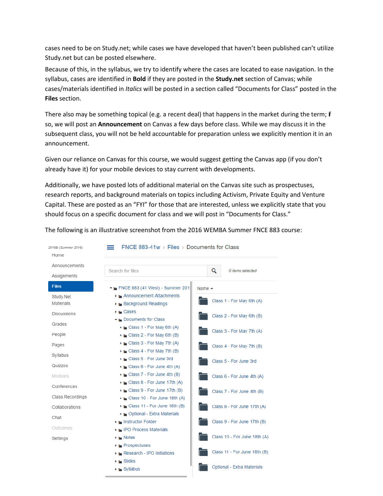cases need to be on Study.net; while cases we have developed that haven't been published can't utilize Study.net but can be posted elsewhere.

Because of this, in the syllabus, we try to identify where the cases are located to ease navigation. In the syllabus, cases are identified in **Bold** if they are posted in the **Study.net** section of Canvas; while cases/materials identified in *Italics* will be posted in a section called "Documents for Class" posted in the **Files** section.

There also may be something topical (e.g. a recent deal) that happens in the market during the term; if so, we will post an **Announcement** on Canvas a few days before class. While we may discuss it in the subsequent class, you will not be held accountable for preparation unless we explicitly mention it in an announcement.

Given our reliance on Canvas for this course, we would suggest getting the Canvas app (if you don't already have it) for your mobile devices to stay current with developments.

Additionally, we have posted lots of additional material on the Canvas site such as prospectuses, research reports, and background materials on topics including Activism, Private Equity and Venture Capital. These are posted as an "FYI" for those that are interested, unless we explicitly state that you should focus on a specific document for class and we will post in "Documents for Class."

FNCE 883-41 $w >$  Files  $>$  Documents for Class 2016B (Summer 2016)  $=$ Home Announcements  $\overline{\mathbf{Q}}$ 0 items selected Search for files Assignments **Files**  $\blacktriangleright$  FNCE 883 (41 West) - Summer 201 Name  $\triangle$ Announcement Attachments Study.Net Class 1 - For May 6th (A) Materials Background Readings  $\blacktriangleright$   $\blacktriangleright$  Cases Discussions Class 2 - For May 6th (B) Documents for Class Grades Class 1 - For May 6th (A) Class 3 - For May 7th (A) People ▶ Lass 2 - For May 6th (B)  $\blacktriangleright$  Class 3 - For May 7th (A) Pages Class 4 - For May 7th (B)  $\blacktriangleright$   $\blacktriangleright$  Class 4 - For May 7th (B) Syllabus Class 5 - For June 3rd Class 5 - For June 3rd Quizzes  $\triangleright$  Class 6 - For June 4th (A)  $\rightarrow$   $\equiv$  Class 7 - For June 4th (B) Modules Class 6 - For June 4th (A)  $\triangleright$  Class 8 - For June 17th (A) Conferences Class 9 - For June 17th (B) Class 7 - For June 4th (B) Class Recordings Class 10 - For June 18th (A)  $\triangleright$  Class 11 - For June 18th (B) Class 8 - For June 17th (A) Collaborations ▶ • Optional - Extra Materials Chat Instructor Folder Class 9 - For June 17th (B) Outcomes IPO Process Materials Class 10 - For June 18th (A) Settings  $\blacktriangleright$   $\blacktriangleright$  Notes Prospectuses Class 11 - For June 18th (B) Research - IPO Initiations  $\blacktriangleright$   $\blacksquare$  Slides Optional - Extra Materials  $\triangleright$   $\blacksquare$  Syllabus

#### The following is an illustrative screenshot from the 2016 WEMBA Summer FNCE 883 course: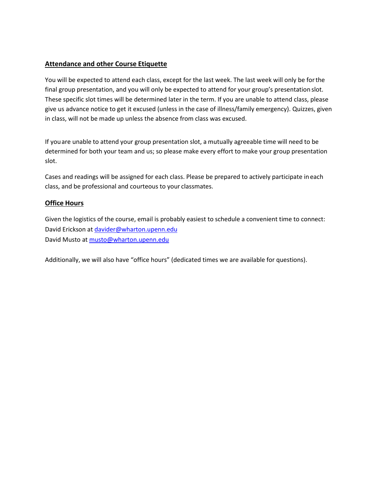# **Attendance and other Course Etiquette**

You will be expected to attend each class, except for the last week. The last week will only be forthe final group presentation, and you will only be expected to attend for your group's presentation slot. These specific slot times will be determined later in the term. If you are unable to attend class, please give us advance notice to get it excused (unless in the case of illness/family emergency). Quizzes, given in class, will not be made up unless the absence from class was excused.

If youare unable to attend your group presentation slot, a mutually agreeable time will need to be determined for both your team and us; so please make every effort to make your group presentation slot.

Cases and readings will be assigned for each class. Please be prepared to actively participate ineach class, and be professional and courteous to your classmates.

#### **Office Hours**

Given the logistics of the course, email is probably easiest to schedule a convenient time to connect: David Erickson at [davider@wharton.upenn.edu](mailto:davider@wharton.upenn.edu) David Musto a[t musto@wharton.upenn.edu](mailto:musto@wharton.upenn.edu)

Additionally, we will also have "office hours" (dedicated times we are available for questions).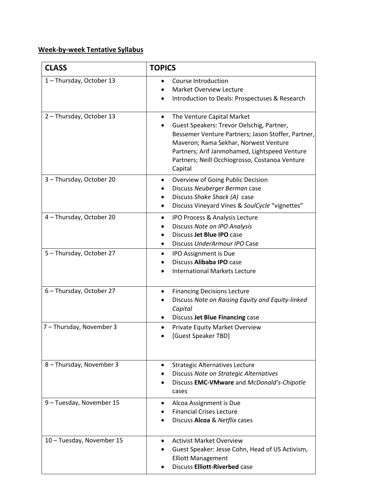# **Week-by-week Tentative Syllabus**

| <b>CLASS</b>              | <b>TOPICS</b>                                                                                                                                                                                                                                                                             |
|---------------------------|-------------------------------------------------------------------------------------------------------------------------------------------------------------------------------------------------------------------------------------------------------------------------------------------|
| 1-Thursday, October 13    | Course Introduction<br><b>Market Overview Lecture</b><br>Introduction to Deals: Prospectuses & Research<br>$\bullet$                                                                                                                                                                      |
| 2-Thursday, October 13    | The Venture Capital Market<br>٠<br>Guest Speakers: Trevor Oelschig, Partner,<br>Bessemer Venture Partners; Jason Stoffer, Partner,<br>Maveron; Rama Sekhar, Norwest Venture<br>Partners; Arif Janmohamed, Lightspeed Venture<br>Partners; Neill Occhiogrosso, Costanoa Venture<br>Capital |
| 3 - Thursday, October 20  | Overview of Going Public Decision<br>Discuss Neuberger Berman case<br>Discuss Shake Shack (A) case<br>$\bullet$<br>Discuss Vineyard Vines & SoulCycle "vignettes"<br>$\bullet$                                                                                                            |
| 4 - Thursday, October 20  | IPO Process & Analysis Lecture<br>Discuss Note on IPO Analysis<br>Discuss Jet Blue IPO case<br>$\bullet$<br>Discuss UnderArmour IPO Case<br>$\bullet$                                                                                                                                     |
| 5-Thursday, October 27    | IPO Assignment is Due<br>$\bullet$<br>Discuss Alibaba IPO case<br><b>International Markets Lecture</b>                                                                                                                                                                                    |
| 6 - Thursday, October 27  | <b>Financing Decisions Lecture</b><br>٠<br>Discuss Note on Raising Equity and Equity-linked<br>Capital<br>Discuss Jet Blue Financing case<br>٠                                                                                                                                            |
| 7 - Thursday, November 3  | Private Equity Market Overview<br>٠<br>[Guest Speaker TBD]                                                                                                                                                                                                                                |
| 8 - Thursday, November 3  | <b>Strategic Alternatives Lecture</b><br>Discuss Note on Strategic Alternatives<br>Discuss EMC-VMware and McDonald's-Chipotle<br>cases                                                                                                                                                    |
| 9 - Tuesday, November 15  | Alcoa Assignment is Due<br><b>Financial Crises Lecture</b><br>Discuss Alcoa & Netflix cases                                                                                                                                                                                               |
| 10 - Tuesday, November 15 | <b>Activist Market Overview</b><br>$\bullet$<br>Guest Speaker: Jesse Cohn, Head of US Activism,<br><b>Elliott Management</b><br><b>Discuss Elliott-Riverbed case</b>                                                                                                                      |